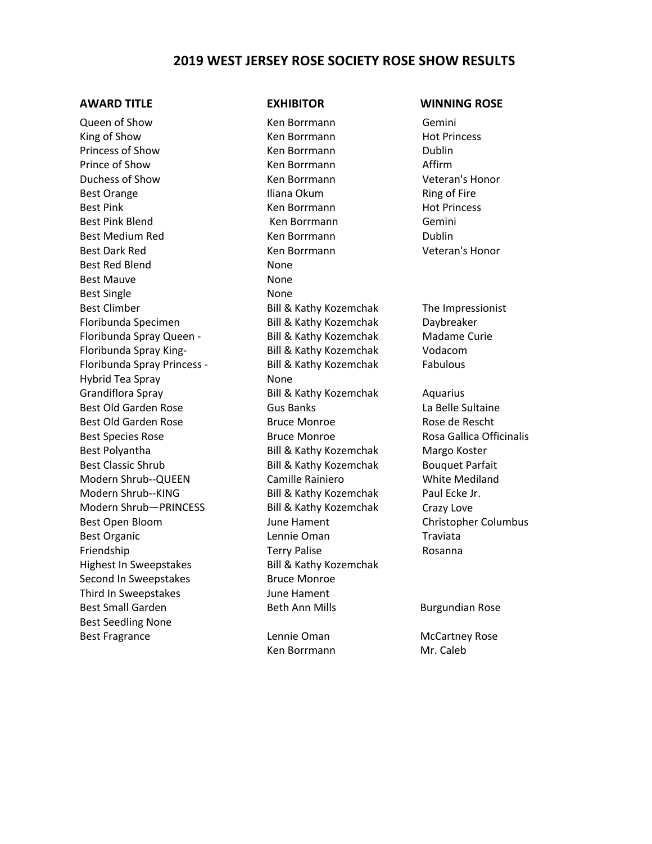## **2019 WEST JERSEY ROSE SOCIETY ROSE SHOW RESULTS**

Queen of Show **Ken Borrmann** Gemini King of Show **Ken Bortmann** Hot Princess **Ken Bortmann** Princess of Show **Ken Borrmann** Dublin Prince of Show **Ken Borrmann** Affirm Duchess of Show Ken Borrmann Veteran's Honor Best Orange The Iliana Okum Ring of Fire Best Pink **Ken Borrmann** Hot Princess **Ken Borrmann** Best Pink Blend Ken Borrmann Gemini Best Medium Red Ken Borrmann Dublin Best Dark Red Ken Borrmann Neteran's Honor Best Red Blend None Best Mauve None Best Single None Best Climber **Bill & Kathy Kozemchak** The Impressionist Floribunda Specimen Bill & Kathy Kozemchak Daybreaker Floribunda Spray Queen - Bill & Kathy Kozemchak Madame Curie Floribunda Spray King- Bill & Kathy Kozemchak Vodacom Floribunda Spray Princess - Bill & Kathy Kozemchak Fabulous Hybrid Tea Spray None Grandiflora Spray Bill & Kathy Kozemchak Aquarius Best Old Garden Rose The Gus Banks Controller Canada La Belle Sultaine Best Old Garden Rose The Bruce Monroe **Bruce Monroe** Rose de Rescht Best Species Rose **Bruce Monroe** Bruce Monroe Rosa Gallica Officinalis Best Polyantha **Bill & Kathy Kozemchak** Margo Koster Best Classic Shrub **Bill & Kathy Kozemchak** Bouquet Parfait Modern Shrub--QUEEN Camille Rainiero White Mediland Modern Shrub--KING Bill & Kathy Kozemchak Paul Ecke Jr. Modern Shrub-PRINCESS Bill & Kathy Kozemchak Crazy Love Best Open Bloom The Suite of June Hament Theorem Christopher Columbus Best Organic and Lennie Oman Traviata Friendship Terry Palise Rosanna Highest In Sweepstakes Bill & Kathy Kozemchak Second In Sweepstakes Bruce Monroe Third In Sweepstakes June Hament Best Small Garden **Beth Ann Mills** Burgundian Rose Best Seedling None Best Fragrance **Lennie Oman** McCartney Rose

Ken Borrmann Mr. Caleb

### **AWARD TITLE EXHIBITOR WINNING ROSE**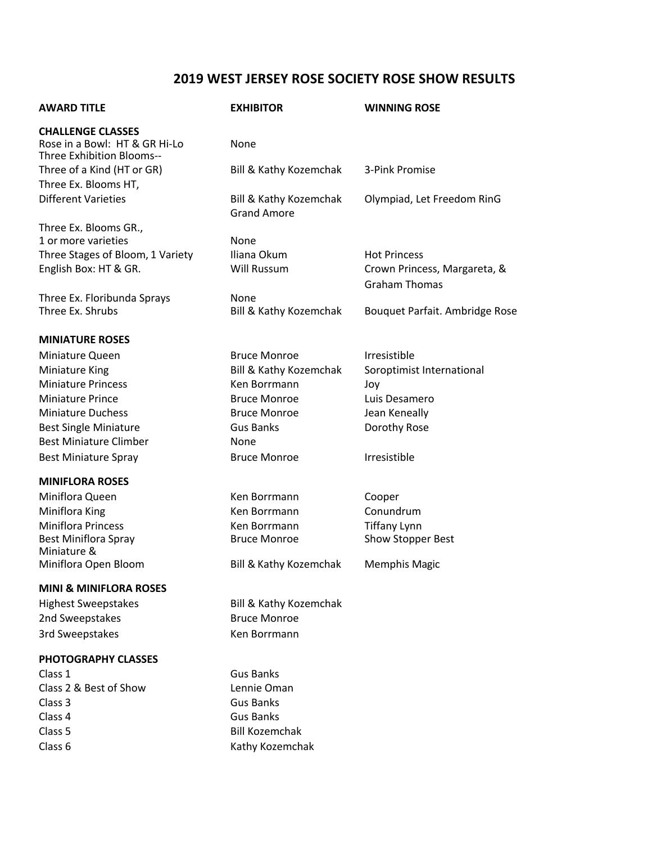# **2019 WEST JERSEY ROSE SOCIETY ROSE SHOW RESULTS**

| <b>AWARD TITLE</b>                                                                     | <b>EXHIBITOR</b>                                        | <b>WINNING ROSE</b>                                  |
|----------------------------------------------------------------------------------------|---------------------------------------------------------|------------------------------------------------------|
| <b>CHALLENGE CLASSES</b><br>Rose in a Bowl: HT & GR Hi-Lo<br>Three Exhibition Blooms-- | None                                                    |                                                      |
| Three of a Kind (HT or GR)<br>Three Ex. Blooms HT,                                     | Bill & Kathy Kozemchak                                  | 3-Pink Promise                                       |
| <b>Different Varieties</b>                                                             | <b>Bill &amp; Kathy Kozemchak</b><br><b>Grand Amore</b> | Olympiad, Let Freedom RinG                           |
| Three Ex. Blooms GR.,                                                                  |                                                         |                                                      |
| 1 or more varieties                                                                    | None                                                    |                                                      |
| Three Stages of Bloom, 1 Variety                                                       | Iliana Okum                                             | <b>Hot Princess</b>                                  |
| English Box: HT & GR.                                                                  | Will Russum                                             | Crown Princess, Margareta, &<br><b>Graham Thomas</b> |
| Three Ex. Floribunda Sprays                                                            | None                                                    |                                                      |
| Three Ex. Shrubs                                                                       | Bill & Kathy Kozemchak                                  | Bouquet Parfait. Ambridge Rose                       |
| <b>MINIATURE ROSES</b>                                                                 |                                                         |                                                      |
| Miniature Queen                                                                        | <b>Bruce Monroe</b>                                     | <b>Irresistible</b>                                  |
| Miniature King                                                                         | Bill & Kathy Kozemchak                                  | Soroptimist International                            |
| <b>Miniature Princess</b>                                                              | Ken Borrmann                                            | Joy                                                  |
| <b>Miniature Prince</b>                                                                | <b>Bruce Monroe</b>                                     | Luis Desamero                                        |
| <b>Miniature Duchess</b>                                                               | <b>Bruce Monroe</b>                                     | Jean Keneally                                        |
| <b>Best Single Miniature</b>                                                           | <b>Gus Banks</b>                                        | Dorothy Rose                                         |
| <b>Best Miniature Climber</b>                                                          | None                                                    |                                                      |
| <b>Best Miniature Spray</b>                                                            | <b>Bruce Monroe</b>                                     | Irresistible                                         |
| <b>MINIFLORA ROSES</b>                                                                 |                                                         |                                                      |
| Miniflora Queen                                                                        | Ken Borrmann                                            | Cooper                                               |
| Miniflora King                                                                         | Ken Borrmann                                            | Conundrum                                            |
| <b>Miniflora Princess</b>                                                              | Ken Borrmann                                            | <b>Tiffany Lynn</b>                                  |
| <b>Best Miniflora Spray</b><br>Miniature &                                             | <b>Bruce Monroe</b>                                     | Show Stopper Best                                    |
| Miniflora Open Bloom                                                                   | <b>Bill &amp; Kathy Kozemchak</b>                       | <b>Memphis Magic</b>                                 |
| <b>MINI &amp; MINIFLORA ROSES</b>                                                      |                                                         |                                                      |
| <b>Highest Sweepstakes</b>                                                             | <b>Bill &amp; Kathy Kozemchak</b>                       |                                                      |
| 2nd Sweepstakes                                                                        | <b>Bruce Monroe</b>                                     |                                                      |
| 3rd Sweepstakes                                                                        | Ken Borrmann                                            |                                                      |
| PHOTOGRAPHY CLASSES                                                                    |                                                         |                                                      |
| Class 1                                                                                | <b>Gus Banks</b>                                        |                                                      |
| Class 2 & Best of Show                                                                 | Lennie Oman                                             |                                                      |
| Class 3                                                                                | <b>Gus Banks</b>                                        |                                                      |
| Class 4                                                                                | <b>Gus Banks</b>                                        |                                                      |
| Class 5                                                                                | <b>Bill Kozemchak</b>                                   |                                                      |
| Class 6                                                                                | Kathy Kozemchak                                         |                                                      |